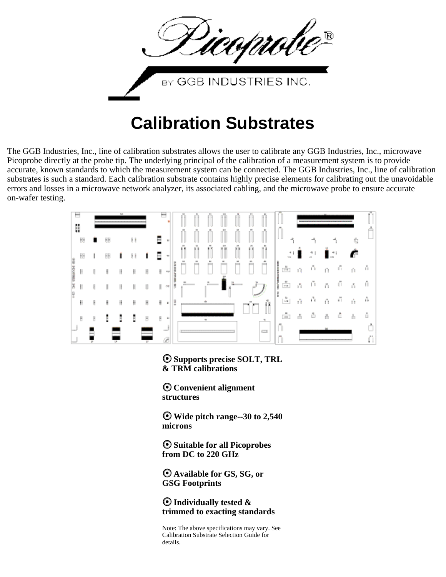

# **Calibration Substrates**

The GGB Industries, Inc., line of calibration substrates allows the user to calibrate any GGB Industries, Inc., microwave Picoprobe directly at the probe tip. The underlying principal of the calibration of a measurement system is to provide accurate, known standards to which the measurement system can be connected. The GGB Industries, Inc., line of calibration substrates is such a standard. Each calibration substrate contains highly precise elements for calibrating out the unavoidable errors and losses in a microwave network analyzer, its associated cabling, and the microwave probe to ensure accurate on-wafer testing.



**Supports precise SOLT, TRL & TRM calibrations**

**Convenient alignment structures**

**Wide pitch range--30 to 2,540 microns**

**Suitable for all Picoprobes from DC to 220 GHz**

**Available for GS, SG, or GSG Footprints**

**Individually tested & trimmed to exacting standards**

Note: The above specifications may vary. See Calibration Substrate Selection Guide for details.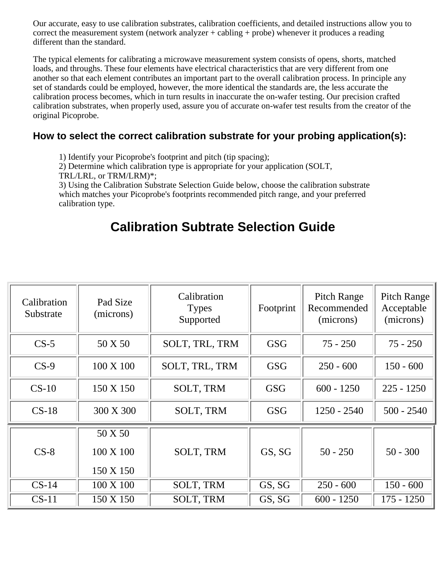Our accurate, easy to use calibration substrates, calibration coefficients, and detailed instructions allow you to correct the measurement system (network analyzer + cabling + probe) whenever it produces a reading different than the standard.

The typical elements for calibrating a microwave measurement system consists of opens, shorts, matched loads, and throughs. These four elements have electrical characteristics that are very different from one another so that each element contributes an important part to the overall calibration process. In principle any set of standards could be employed, however, the more identical the standards are, the less accurate the calibration process becomes, which in turn results in inaccurate the on-wafer testing. Our precision crafted calibration substrates, when properly used, assure you of accurate on-wafer test results from the creator of the original Picoprobe.

### **How to select the correct calibration substrate for your probing application(s):**

1) Identify your Picoprobe's footprint and pitch (tip spacing);

2) Determine which calibration type is appropriate for your application (SOLT,

TRL/LRL, or TRM/LRM)\*;

3) Using the Calibration Substrate Selection Guide below, choose the calibration substrate which matches your Picoprobe's footprints recommended pitch range, and your preferred calibration type.

### **Calibration Subtrate Selection Guide**

| Calibration<br>Substrate | Pad Size<br>(microns)             | Calibration<br><b>Types</b><br>Supported | Footprint  | <b>Pitch Range</b><br>Recommended<br>(microns) | <b>Pitch Range</b><br>Acceptable<br>(microns) |
|--------------------------|-----------------------------------|------------------------------------------|------------|------------------------------------------------|-----------------------------------------------|
| $CS-5$                   | 50 X 50                           | SOLT, TRL, TRM                           | <b>GSG</b> | $75 - 250$                                     | $75 - 250$                                    |
| $CS-9$                   | 100 X 100                         | SOLT, TRL, TRM                           | <b>GSG</b> | $250 - 600$                                    | $150 - 600$                                   |
| $CS-10$                  | 150 X 150                         | <b>SOLT, TRM</b>                         | <b>GSG</b> | $600 - 1250$                                   | $225 - 1250$                                  |
| $CS-18$                  | 300 X 300                         | SOLT, TRM                                | <b>GSG</b> | $1250 - 2540$                                  | $500 - 2540$                                  |
| $CS-8$                   | 50 X 50<br>100 X 100<br>150 X 150 | <b>SOLT, TRM</b>                         | GS, SG     | $50 - 250$                                     | $50 - 300$                                    |
| $CS-14$                  | 100 X 100                         | <b>SOLT, TRM</b>                         | GS, SG     | $250 - 600$                                    | $150 - 600$                                   |
| $CS-11$                  | 150 X 150                         | <b>SOLT, TRM</b>                         | GS, SG     | $600 - 1250$                                   | $175 - 1250$                                  |